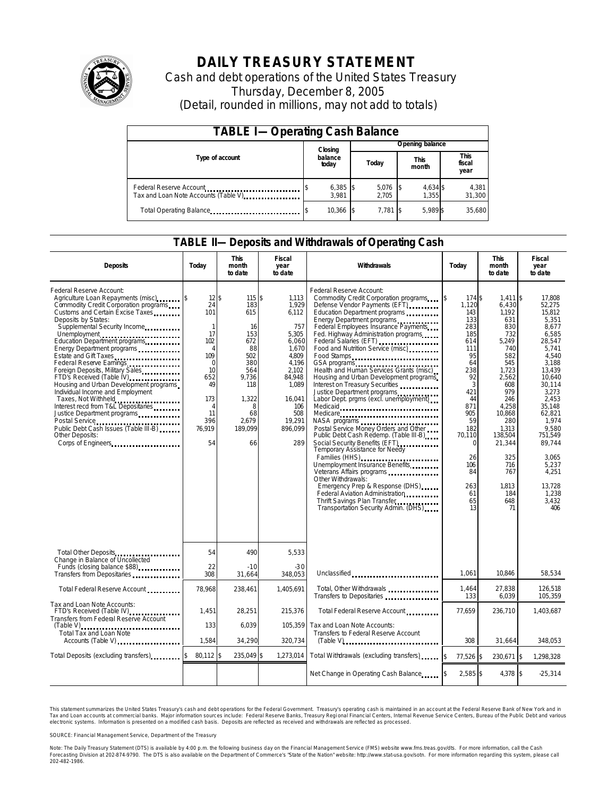

# **DAILY TREASURY STATEMENT**

Cash and debt operations of the United States Treasury Thursday, December 8, 2005 (Detail, rounded in millions, may not add to totals)

| <b>TABLE I-Operating Cash Balance</b>                           |  |                     |  |                 |     |                      |  |                        |
|-----------------------------------------------------------------|--|---------------------|--|-----------------|-----|----------------------|--|------------------------|
|                                                                 |  | Closing             |  | Opening balance |     |                      |  |                        |
| Type of account                                                 |  | balance<br>today    |  | Today           |     | <b>This</b><br>month |  | This<br>fiscal<br>year |
| Federal Reserve Account<br>Tax and Loan Note Accounts (Table V) |  | $6,385$ \$<br>3.981 |  | 5,076<br>2.705  | -18 | 4,634 \$<br>1.355    |  | 4,381<br>31,300        |
| Total Operating Balance                                         |  | 10,366 \$           |  | $7.781$ S       |     | 5.989 \$             |  | 35.680                 |

#### **TABLE II—Deposits and Withdrawals of Operating Cash**

| <b>Deposits</b>                                                                                                                                                                                                                                                                                                                                                                                                                                                                                                                                                                                                                 | Today                                                                                                                                                           | <b>This</b><br>month<br>to date                                                                                                   | <b>Fiscal</b><br>year<br>to date                                                                                                                            | Withdrawals                                                                                                                                                                                                                                                                                                                                                                                                                                                                                                                                                                                                                                                                                                                                                                                                                                                                                                                                              | Today                                                                                                                                                                                                   | <b>This</b><br>month<br>to date                                                                                                                                                                                                   | <b>Fiscal</b><br>year<br>to date                                                                                                                                                                                                                                    |
|---------------------------------------------------------------------------------------------------------------------------------------------------------------------------------------------------------------------------------------------------------------------------------------------------------------------------------------------------------------------------------------------------------------------------------------------------------------------------------------------------------------------------------------------------------------------------------------------------------------------------------|-----------------------------------------------------------------------------------------------------------------------------------------------------------------|-----------------------------------------------------------------------------------------------------------------------------------|-------------------------------------------------------------------------------------------------------------------------------------------------------------|----------------------------------------------------------------------------------------------------------------------------------------------------------------------------------------------------------------------------------------------------------------------------------------------------------------------------------------------------------------------------------------------------------------------------------------------------------------------------------------------------------------------------------------------------------------------------------------------------------------------------------------------------------------------------------------------------------------------------------------------------------------------------------------------------------------------------------------------------------------------------------------------------------------------------------------------------------|---------------------------------------------------------------------------------------------------------------------------------------------------------------------------------------------------------|-----------------------------------------------------------------------------------------------------------------------------------------------------------------------------------------------------------------------------------|---------------------------------------------------------------------------------------------------------------------------------------------------------------------------------------------------------------------------------------------------------------------|
| Federal Reserve Account:<br>Agriculture Loan Repayments (misc) [\$<br>Commodity Credit Corporation programs<br>Customs and Certain Excise Taxes<br>Deposits by States:<br>Supplemental Security Income<br>Education Department programs<br>Energy Department programs<br>Federal Reserve Earnings<br>Foreign Deposits, Military Sales<br>FTD's Received (Table IV)<br>Housing and Urban Development programs<br>Individual Income and Employment<br>Taxes, Not Withheld<br>Interest recd from T&L Depositaries<br>Justice Department programs<br>Public Debt Cash Issues (Table III-B)<br>Other Deposits:<br>Corps of Engineers | $12$ \$<br>24<br>101<br>$\mathbf{1}$<br>17<br>102<br>$\overline{4}$<br>109<br>$\Omega$<br>10<br>652<br>49<br>173<br>$\overline{4}$<br>11<br>396<br>76,919<br>54 | 115 \$<br>183<br>615<br>16<br>153<br>672<br>88<br>502<br>380<br>564<br>9,736<br>118<br>1,322<br>8<br>68<br>2,679<br>189.099<br>66 | 1.113<br>1,929<br>6,112<br>757<br>5,305<br>6,060<br>1.670<br>4.809<br>4.196<br>2.102<br>84,948<br>1,089<br>16.041<br>106<br>508<br>19.291<br>896.099<br>289 | Federal Reserve Account:<br>Commodity Credit Corporation programs<br>Defense Vendor Payments (EFT)<br>Education Department programs<br>Energy Department programs<br>Federal Employees Insurance Payments<br>Fed. Highway Administration programs<br>Federal Salaries (EFT)<br>Food and Nutrition Service (misc)<br>Food Stamps<br>GSA programs<br>Health and Human Services Grants (misc)<br>Housing and Urban Development programs<br>Interest on Treasury Securities<br>Justice Department programs<br>Labor Dept. prgms (excl. unemployment)<br>Medicaid<br>Medicare<br>Postal Service Money Orders and Other<br>Public Debt Cash Redemp. (Table III-B)<br>Social Security Benefits (EFT)<br>Temporary Assistance for Needy<br>Families (HHS)<br>Unemployment Insurance Benefits<br>Other Withdrawals:<br>Emergency Prep & Response (DHS)<br>Federal Aviation Administration<br>Thrift Savings Plan Transfer<br>Transportation Security Admin. (DHS) | 174 \$<br>ß.<br>1,120<br>143<br>133<br>283<br>185<br>614<br>111<br>95<br>64<br>238<br>92<br>3<br>421<br>44<br>871<br>905<br>59<br>182<br>70,110<br>$\Omega$<br>26<br>106<br>84<br>263<br>61<br>65<br>13 | $1.411$ \\$<br>6,430<br>1,192<br>631<br>830<br>732<br>5,249<br>740<br>582<br>545<br>1,723<br>2,562<br>608<br>979<br>246<br>4,258<br>10.868<br>280<br>1,313<br>138,504<br>21,344<br>325<br>716<br>767<br>1.813<br>184<br>648<br>71 | 17.808<br>52,275<br>15,812<br>5.351<br>8,677<br>6.585<br>28,547<br>5.741<br>4.540<br>3.188<br>13.439<br>10,640<br>30.114<br>3,273<br>2.453<br>35.148<br>62.821<br>1.974<br>9.580<br>751.549<br>89,744<br>3.065<br>5,237<br>4,251<br>13.728<br>1,238<br>3,432<br>406 |
| Total Other Deposits<br>Change in Balance of Uncollected                                                                                                                                                                                                                                                                                                                                                                                                                                                                                                                                                                        | 54                                                                                                                                                              | 490                                                                                                                               | 5.533                                                                                                                                                       |                                                                                                                                                                                                                                                                                                                                                                                                                                                                                                                                                                                                                                                                                                                                                                                                                                                                                                                                                          |                                                                                                                                                                                                         |                                                                                                                                                                                                                                   |                                                                                                                                                                                                                                                                     |
| Funds (closing balance \$88)<br>Funds (closing balance \$88)<br>Transfers from Depositaries                                                                                                                                                                                                                                                                                                                                                                                                                                                                                                                                     | 22<br>308                                                                                                                                                       | $-10$<br>31,664                                                                                                                   | $-30$<br>348,053                                                                                                                                            | Unclassified                                                                                                                                                                                                                                                                                                                                                                                                                                                                                                                                                                                                                                                                                                                                                                                                                                                                                                                                             | 1,061                                                                                                                                                                                                   | 10,846                                                                                                                                                                                                                            | 58,534                                                                                                                                                                                                                                                              |
| Total Federal Reserve Account                                                                                                                                                                                                                                                                                                                                                                                                                                                                                                                                                                                                   | 78,968                                                                                                                                                          | 238,461                                                                                                                           | 1,405,691                                                                                                                                                   | Total, Other Withdrawals<br>Transfers to Depositaries                                                                                                                                                                                                                                                                                                                                                                                                                                                                                                                                                                                                                                                                                                                                                                                                                                                                                                    | 1,464<br>133                                                                                                                                                                                            | 27,838<br>6,039                                                                                                                                                                                                                   | 126,518<br>105,359                                                                                                                                                                                                                                                  |
| Tax and Loan Note Accounts:<br>FTD's Received (Table IV)<br>Transfers from Federal Reserve Account                                                                                                                                                                                                                                                                                                                                                                                                                                                                                                                              | 1.451                                                                                                                                                           | 28,251                                                                                                                            | 215.376                                                                                                                                                     | Total Federal Reserve Account.                                                                                                                                                                                                                                                                                                                                                                                                                                                                                                                                                                                                                                                                                                                                                                                                                                                                                                                           | 77.659                                                                                                                                                                                                  | 236.710                                                                                                                                                                                                                           | 1.403.687                                                                                                                                                                                                                                                           |
| $(Table V)$<br><b>Total Tax and Loan Note</b><br>Accounts (Table V)                                                                                                                                                                                                                                                                                                                                                                                                                                                                                                                                                             | 133<br>1,584                                                                                                                                                    | 6.039<br>34,290                                                                                                                   | 105.359<br>320,734                                                                                                                                          | Tax and Loan Note Accounts:<br>Transfers to Federal Reserve Account                                                                                                                                                                                                                                                                                                                                                                                                                                                                                                                                                                                                                                                                                                                                                                                                                                                                                      | 308                                                                                                                                                                                                     | 31,664                                                                                                                                                                                                                            | 348,053                                                                                                                                                                                                                                                             |
| Total Deposits (excluding transfers)                                                                                                                                                                                                                                                                                                                                                                                                                                                                                                                                                                                            | 80,112 \$                                                                                                                                                       | 235,049 \$                                                                                                                        | 1,273,014                                                                                                                                                   | Total Withdrawals (excluding transfers)                                                                                                                                                                                                                                                                                                                                                                                                                                                                                                                                                                                                                                                                                                                                                                                                                                                                                                                  | $\overline{\mathbf{3}}$<br>77,526 \$                                                                                                                                                                    | 230,671 \$                                                                                                                                                                                                                        | 1,298,328                                                                                                                                                                                                                                                           |
|                                                                                                                                                                                                                                                                                                                                                                                                                                                                                                                                                                                                                                 |                                                                                                                                                                 |                                                                                                                                   |                                                                                                                                                             | Net Change in Operating Cash Balance                                                                                                                                                                                                                                                                                                                                                                                                                                                                                                                                                                                                                                                                                                                                                                                                                                                                                                                     | $2,585$ \$                                                                                                                                                                                              | 4,378 \$                                                                                                                                                                                                                          | $-25,314$                                                                                                                                                                                                                                                           |

This statement summarizes the United States Treasury's cash and debt operations for the Federal Government. Treasury's operating cash is maintained in an account at the Federal Reserve Bank of New York and in Tax and Loan accounts at commercial banks. Major information sources include: Federal Reserve Banks, Treasury Regional Financial Centers, Internal Revenue Service Centers, Bureau of the Public Debt and various<br>electronic s

SOURCE: Financial Management Service, Department of the Treasury

Note: The Daily Treasury Statement (DTS) is available by 4:00 p.m. the following business day on the Financial Management Service (FMS) website www.fms.treas.gov/dts. For more information, call the Cash<br>Forecasting Divisio 'S) is available by 4:00 p.m. the following business day on the Financial Management Service (FMS) website www.fms.treas.gov/dts. For more information, call the Cash<br>The DTS is also available on the Department of Commerce'